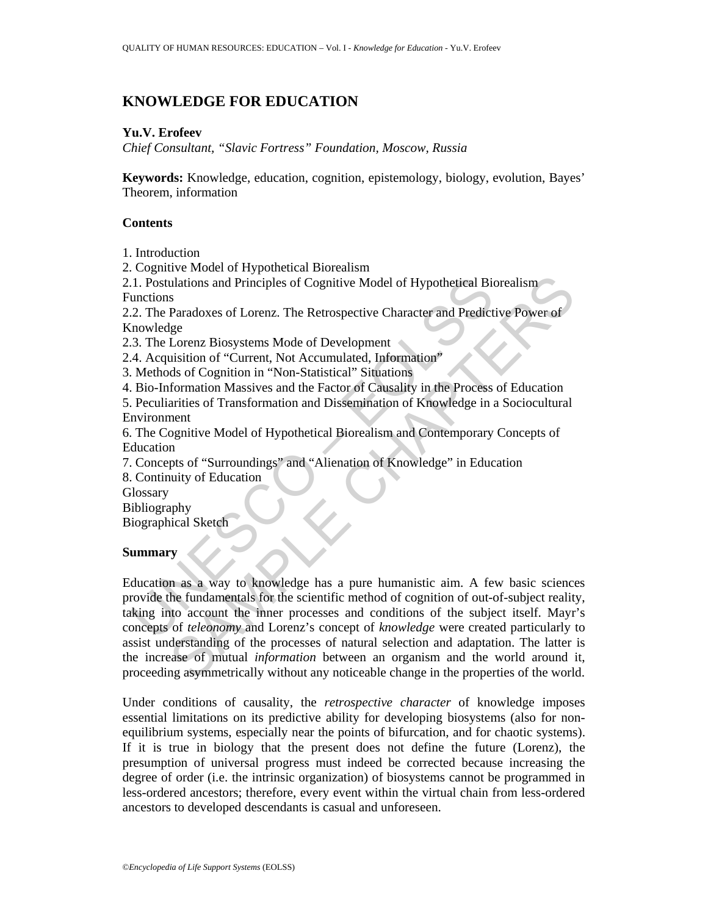# **KNOWLEDGE FOR EDUCATION**

## **Yu.V. Erofeev**

*Chief Consultant, "Slavic Fortress" Foundation, Moscow, Russia* 

**Keywords:** Knowledge, education, cognition, epistemology, biology, evolution, Bayes' Theorem, information

## **Contents**

1. Introduction

2. Cognitive Model of Hypothetical Biorealism

2.1. Postulations and Principles of Cognitive Model of Hypothetical Biorealism Functions

2.2. The Paradoxes of Lorenz. The Retrospective Character and Predictive Power of Knowledge

2.3. The Lorenz Biosystems Mode of Development

2.4. Acquisition of "Current, Not Accumulated, Information"

3. Methods of Cognition in "Non-Statistical" Situations

4. Bio-Information Massives and the Factor of Causality in the Process of Education

5. Peculiarities of Transformation and Dissemination of Knowledge in a Sociocultural Environment

6. The Cognitive Model of Hypothetical Biorealism and Contemporary Concepts of Education

7. Concepts of "Surroundings" and "Alienation of Knowledge" in Education

8. Continuity of Education

**Glossary** 

Bibliography

Biographical Sketch

## **Summary**

1. Postulations and Principles of Cognitive Model of Hypothetical Biouncions<br>
2.1. The Paradoxes of Lorenz. The Retrospective Character and Predict<br>
2.1. The Paradoxes of Lorenz. The Retrospective Character and Predict<br>
3. Mations and Principles of Cognitive Model of Hypothetical Biorealism<br>
Paradoxes of Lorenz. The Retrospective Character and Predictive Power of<br>
Paradoxes of Lorenz. Not Accumulated, Information"<br>
Listion of "Current, Not A Education as a way to knowledge has a pure humanistic aim. A few basic sciences provide the fundamentals for the scientific method of cognition of out-of-subject reality, taking into account the inner processes and conditions of the subject itself. Mayr's concepts of *teleonomy* and Lorenz's concept of *knowledge* were created particularly to assist understanding of the processes of natural selection and adaptation. The latter is the increase of mutual *information* between an organism and the world around it, proceeding asymmetrically without any noticeable change in the properties of the world.

Under conditions of causality, the *retrospective character* of knowledge imposes essential limitations on its predictive ability for developing biosystems (also for nonequilibrium systems, especially near the points of bifurcation, and for chaotic systems). If it is true in biology that the present does not define the future (Lorenz), the presumption of universal progress must indeed be corrected because increasing the degree of order (i.e. the intrinsic organization) of biosystems cannot be programmed in less-ordered ancestors; therefore, every event within the virtual chain from less-ordered ancestors to developed descendants is casual and unforeseen.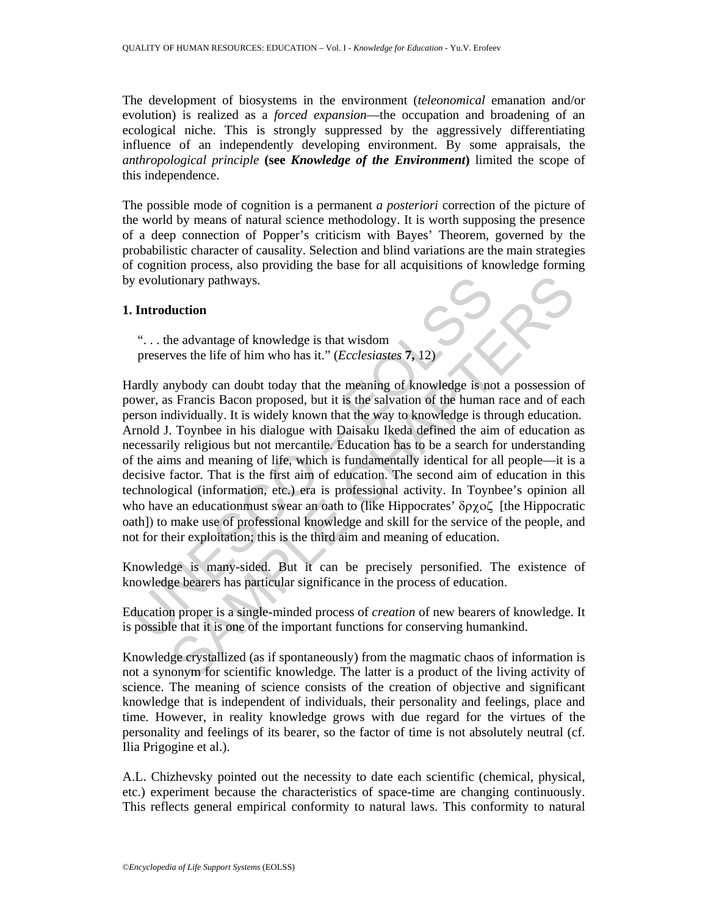The development of biosystems in the environment (*teleonomical* emanation and/or evolution) is realized as a *forced expansion*—the occupation and broadening of an ecological niche. This is strongly suppressed by the aggressively differentiating influence of an independently developing environment. By some appraisals, the *anthropological principle* **(see** *Knowledge of the Environment***)** limited the scope of this independence.

The possible mode of cognition is a permanent *a posteriori* correction of the picture of the world by means of natural science methodology. It is worth supposing the presence of a deep connection of Popper's criticism with Bayes' Theorem, governed by the probabilistic character of causality. Selection and blind variations are the main strategies of cognition process, also providing the base for all acquisitions of knowledge forming by evolutionary pathways.

### **1. Introduction**

". . . the advantage of knowledge is that wisdom preserves the life of him who has it." (*Ecclesiastes* **7,** 12)

by evolutionary pathways.<br> **Introduction**<br>
"... the advantage of knowledge is that wisdom<br>
preserves the life of him who has it." (*Ecclesiastes* 7, 12)<br>
lardly anybody can doubt today that the meaning of knowledge is no<br> Interior<br>
the advantage of knowledge is that wisdom<br>
ves the life of him who has it." (*Ecclesiastes* 7, 12)<br>
mybody can doubt today that the meaning of knowledge is not a possession<br>
s Francis Bacon proposed, but it is th Hardly anybody can doubt today that the meaning of knowledge is not a possession of power, as Francis Bacon proposed, but it is the salvation of the human race and of each person individually. It is widely known that the way to knowledge is through education. Arnold J. Toynbee in his dialogue with Daisaku Ikeda defined the aim of education as necessarily religious but not mercantile. Education has to be a search for understanding of the aims and meaning of life, which is fundamentally identical for all people—it is a decisive factor. That is the first aim of education. The second aim of education in this technological (information, etc.) era is professional activity. In Toynbee's opinion all who have an educationmust swear an oath to (like Hippocrates' δρχοζ [the Hippocratic oath]) to make use of professional knowledge and skill for the service of the people, and not for their exploitation; this is the third aim and meaning of education.

Knowledge is many-sided. But it can be precisely personified. The existence of knowledge bearers has particular significance in the process of education.

Education proper is a single-minded process of *creation* of new bearers of knowledge. It is possible that it is one of the important functions for conserving humankind.

Knowledge crystallized (as if spontaneously) from the magmatic chaos of information is not a synonym for scientific knowledge. The latter is a product of the living activity of science. The meaning of science consists of the creation of objective and significant knowledge that is independent of individuals, their personality and feelings, place and time. However, in reality knowledge grows with due regard for the virtues of the personality and feelings of its bearer, so the factor of time is not absolutely neutral (cf. Ilia Prigogine et al.).

A.L. Chizhevsky pointed out the necessity to date each scientific (chemical, physical, etc.) experiment because the characteristics of space-time are changing continuously. This reflects general empirical conformity to natural laws. This conformity to natural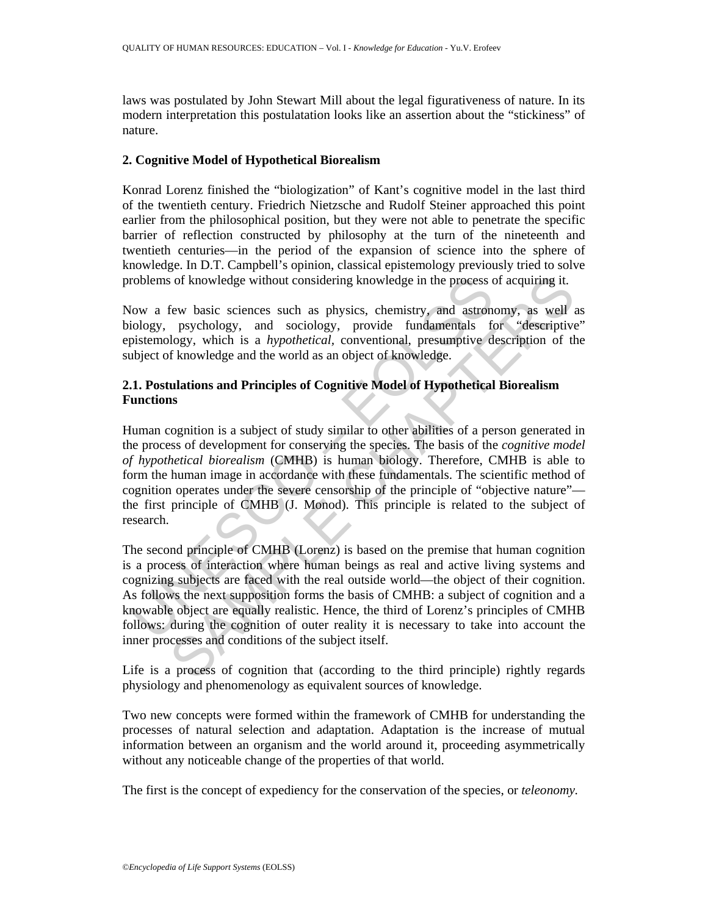laws was postulated by John Stewart Mill about the legal figurativeness of nature. In its modern interpretation this postulatation looks like an assertion about the "stickiness" of nature.

### **2. Cognitive Model of Hypothetical Biorealism**

Konrad Lorenz finished the "biologization" of Kant's cognitive model in the last third of the twentieth century. Friedrich Nietzsche and Rudolf Steiner approached this point earlier from the philosophical position, but they were not able to penetrate the specific barrier of reflection constructed by philosophy at the turn of the nineteenth and twentieth centuries—in the period of the expansion of science into the sphere of knowledge. In D.T. Campbell's opinion, classical epistemology previously tried to solve problems of knowledge without considering knowledge in the process of acquiring it.

Now a few basic sciences such as physics, chemistry, and astronomy, as well as biology, psychology, and sociology, provide fundamentals for "descriptive" epistemology, which is a *hypothetical,* conventional, presumptive description of the subject of knowledge and the world as an object of knowledge.

## **2.1. Postulations and Principles of Cognitive Model of Hypothetical Biorealism Functions**

roblems of knowledge without considering knowledge in the process compare of knowledge without considering knowledge in the process compare of the process compare of the synchronology, paychology, and sociology, provide fu of knowledge without considering knowledge in the process of acquiring it.<br>
few basic sciences such as physics, chemistry, and astronomy, as well psychology, unid sociology, provide fundamentals for "descriptive fundamenta Human cognition is a subject of study similar to other abilities of a person generated in the process of development for conserving the species. The basis of the *cognitive model of hypothetical biorealism* (CMHB) is human biology. Therefore, CMHB is able to form the human image in accordance with these fundamentals. The scientific method of cognition operates under the severe censorship of the principle of "objective nature" the first principle of CMHB (J. Monod). This principle is related to the subject of research.

The second principle of CMHB (Lorenz) is based on the premise that human cognition is a process of interaction where human beings as real and active living systems and cognizing subjects are faced with the real outside world—the object of their cognition. As follows the next supposition forms the basis of CMHB: a subject of cognition and a knowable object are equally realistic. Hence, the third of Lorenz's principles of CMHB follows: during the cognition of outer reality it is necessary to take into account the inner processes and conditions of the subject itself.

Life is a process of cognition that (according to the third principle) rightly regards physiology and phenomenology as equivalent sources of knowledge.

Two new concepts were formed within the framework of CMHB for understanding the processes of natural selection and adaptation. Adaptation is the increase of mutual information between an organism and the world around it, proceeding asymmetrically without any noticeable change of the properties of that world.

The first is the concept of expediency for the conservation of the species, or *teleonomy.*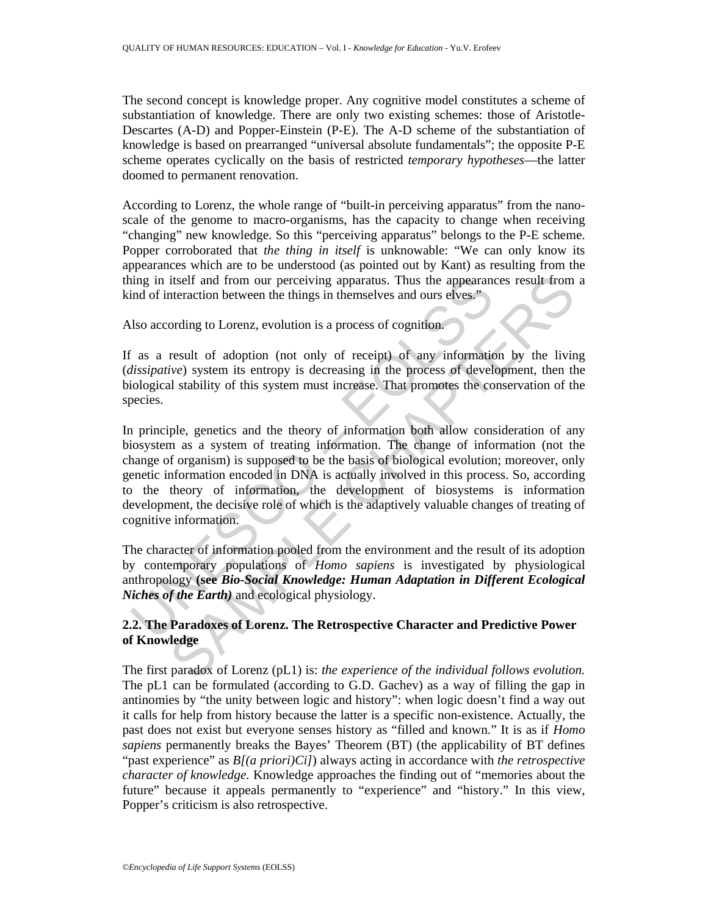The second concept is knowledge proper. Any cognitive model constitutes a scheme of substantiation of knowledge. There are only two existing schemes: those of Aristotle-Descartes (A-D) and Popper-Einstein (P-E). The A-D scheme of the substantiation of knowledge is based on prearranged "universal absolute fundamentals"; the opposite P-E scheme operates cyclically on the basis of restricted *temporary hypotheses*—the latter doomed to permanent renovation.

According to Lorenz, the whole range of "built-in perceiving apparatus" from the nanoscale of the genome to macro-organisms, has the capacity to change when receiving "changing" new knowledge. So this "perceiving apparatus" belongs to the P-E scheme. Popper corroborated that *the thing in itself* is unknowable: "We can only know its appearances which are to be understood (as pointed out by Kant) as resulting from the thing in itself and from our perceiving apparatus. Thus the appearances result from a kind of interaction between the things in themselves and ours elves."

Also according to Lorenz, evolution is a process of cognition.

If as a result of adoption (not only of receipt) of any information by the living (*dissipative*) system its entropy is decreasing in the process of development, then the biological stability of this system must increase. That promotes the conservation of the species.

ing in itself and from our perceiving apparatus. Thus the appearannel of interaction between the things in themselves and ours elves."<br>
Also according to Lorenz, evolution is a process of cognition.<br>  $\therefore$  as a result of itself and from our perceiving apparatus. Thus the appearances result from<br>the interaction between the things in themselves and ours elves."<br>
ording to Lorenz, evolution is a process of cognition.<br>
result of adoption (not In principle, genetics and the theory of information both allow consideration of any biosystem as a system of treating information. The change of information (not the change of organism) is supposed to be the basis of biological evolution; moreover, only genetic information encoded in DNA is actually involved in this process. So, according to the theory of information, the development of biosystems is information development, the decisive role of which is the adaptively valuable changes of treating of cognitive information.

The character of information pooled from the environment and the result of its adoption by contemporary populations of *Homo sapiens* is investigated by physiological anthropology **(see** *Bio-Social Knowledge: Human Adaptation in Different Ecological Niches of the Earth)* and ecological physiology.

## **2.2. The Paradoxes of Lorenz. The Retrospective Character and Predictive Power of Knowledge**

The first paradox of Lorenz (pL1) is: *the experience of the individual follows evolution.* The pL1 can be formulated (according to G.D. Gachev) as a way of filling the gap in antinomies by "the unity between logic and history": when logic doesn't find a way out it calls for help from history because the latter is a specific non-existence. Actually, the past does not exist but everyone senses history as "filled and known." It is as if *Homo sapiens* permanently breaks the Bayes' Theorem (BT) (the applicability of BT defines "past experience" as *B[(a priori)Ci]*) always acting in accordance with *the retrospective character of knowledge.* Knowledge approaches the finding out of "memories about the future" because it appeals permanently to "experience" and "history." In this view, Popper's criticism is also retrospective.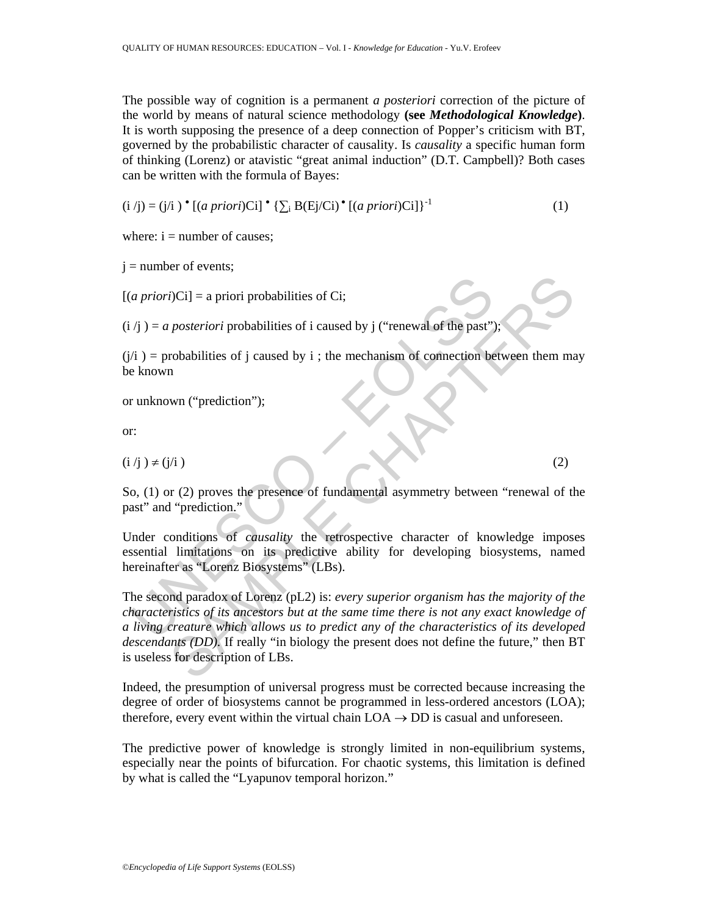The possible way of cognition is a permanent *a posteriori* correction of the picture of the world by means of natural science methodology **(see** *Methodological Knowledge***)**. It is worth supposing the presence of a deep connection of Popper's criticism with BT, governed by the probabilistic character of causality. Is *causality* a specific human form of thinking (Lorenz) or atavistic "great animal induction" (D.T. Campbell)? Both cases can be written with the formula of Bayes:

$$
(i / j) = (j / i) \cdot [(a priori)Ci] \cdot {\sum_i B(Ej/Ci)} \cdot [(a priori)Ci] \}^{-1}
$$
 (1)

where:  $i =$  number of causes;

 $j =$  number of events;

 $[(a priori)$ Ci] = a priori probabilities of Ci;

 $(i / i) = a$  *posteriori* probabilities of *i* caused by *j* ("renewal of the past");

 $(j/i)$  = probabilities of j caused by i ; the mechanism of connection between them may be known

or unknown ("prediction");

or:

 $(i/j) \neq (j/i)$  (2)

So, (1) or (2) proves the presence of fundamental asymmetry between "renewal of the past" and "prediction."

Under conditions of *causality* the retrospective character of knowledge imposes essential limitations on its predictive ability for developing biosystems, named hereinafter as "Lorenz Biosystems" (LBs).

*a priori*)Ci] = a priori probabilities of Ci;<br>  $f_j$  = *a posteriori* probabilities of *i* caused by *j* ("renewal of the past")<br>  $f_i$  = probabilities of *j* caused by *i* ; the mechanism of connection be<br>
known<br>  $f_i$  =  $B(1)$  = a priori probabilities of Ci;<br>
posteriori probabilities of i caused by j ("renewal of the past");<br>
robabilities of j caused by i ; the mechanism of connection between them may<br>
m<br>
wn ("prediction");<br>  $B(2)$  prove The second paradox of Lorenz (pL2) is: *every superior organism has the majority of the characteristics of its ancestors but at the same time there is not any exact knowledge of a living creature which allows us to predict any of the characteristics of its developed descendants (DD).* If really "in biology the present does not define the future," then BT is useless for description of LBs.

Indeed, the presumption of universal progress must be corrected because increasing the degree of order of biosystems cannot be programmed in less-ordered ancestors (LOA); therefore, every event within the virtual chain  $LOA \rightarrow DD$  is casual and unforeseen.

The predictive power of knowledge is strongly limited in non-equilibrium systems, especially near the points of bifurcation. For chaotic systems, this limitation is defined by what is called the "Lyapunov temporal horizon."